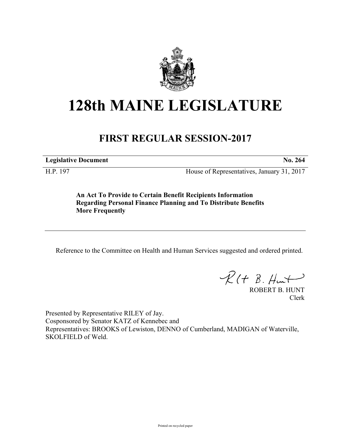

## **128th MAINE LEGISLATURE**

## **FIRST REGULAR SESSION-2017**

**Legislative Document No. 264**

H.P. 197 House of Representatives, January 31, 2017

**An Act To Provide to Certain Benefit Recipients Information Regarding Personal Finance Planning and To Distribute Benefits More Frequently**

Reference to the Committee on Health and Human Services suggested and ordered printed.

 $R(H B. H<sub>un</sub>+)$ 

ROBERT B. HUNT Clerk

Presented by Representative RILEY of Jay. Cosponsored by Senator KATZ of Kennebec and Representatives: BROOKS of Lewiston, DENNO of Cumberland, MADIGAN of Waterville, SKOLFIELD of Weld.